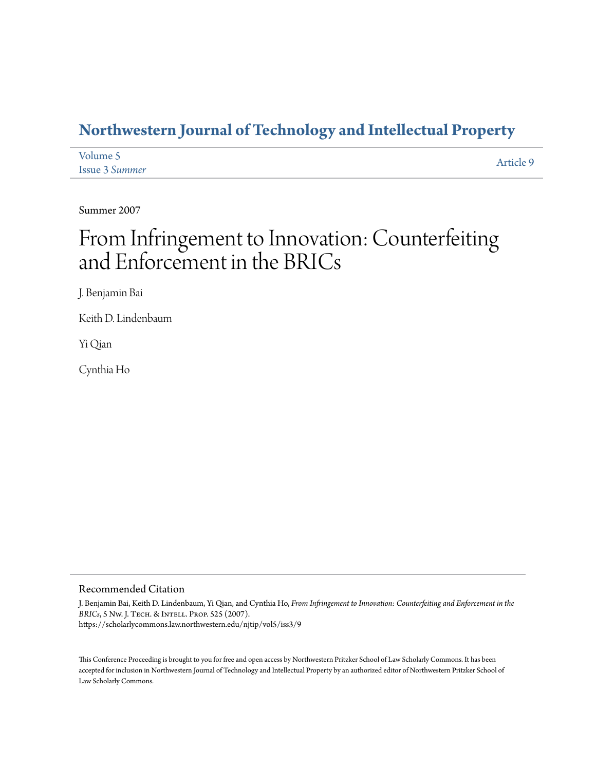### **[Northwestern Journal of Technology and Intellectual Property](https://scholarlycommons.law.northwestern.edu/njtip)**

| Volume 5              | Article 9 |
|-----------------------|-----------|
| <b>Issue 3 Summer</b> |           |

Summer 2007

# From Infringement to Innovation: Counterfeiting and Enforcement in the BRICs

J. Benjamin Bai

Keith D. Lindenbaum

Yi Qian

Cynthia Ho

#### Recommended Citation

J. Benjamin Bai, Keith D. Lindenbaum, Yi Qian, and Cynthia Ho, *From Infringement to Innovation: Counterfeiting and Enforcement in the BRICs*, 5 Nw. J. Tech. & Intell. Prop. 525 (2007). https://scholarlycommons.law.northwestern.edu/njtip/vol5/iss3/9

This Conference Proceeding is brought to you for free and open access by Northwestern Pritzker School of Law Scholarly Commons. It has been accepted for inclusion in Northwestern Journal of Technology and Intellectual Property by an authorized editor of Northwestern Pritzker School of Law Scholarly Commons.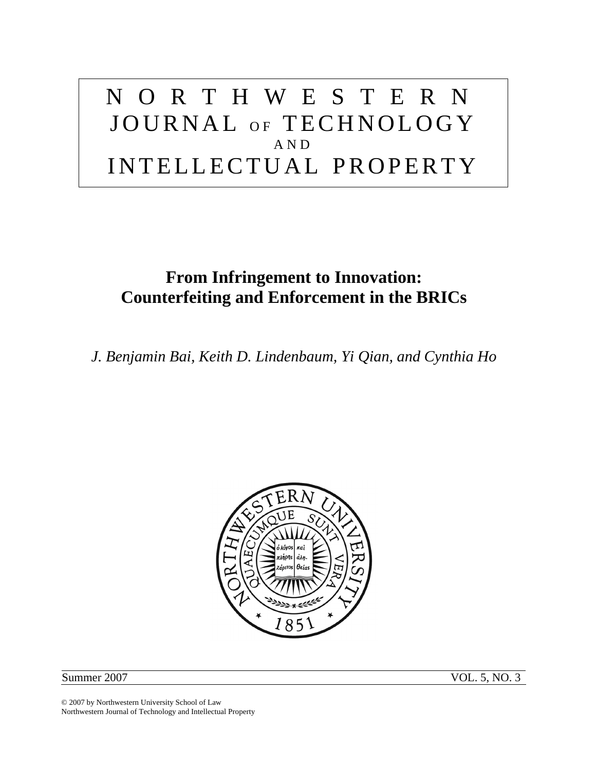# NORTHWESTERN JOURNAL OF TECHNOLOGY AND INTELLECTUAL PROPERTY

## **From Infringement to Innovation: Counterfeiting and Enforcement in the BRICs**

*J. Benjamin Bai, Keith D. Lindenbaum, Yi Qian, and Cynthia Ho* 



Summer 2007 VOL. 5, NO. 3

© 2007 by Northwestern University School of Law Northwestern Journal of Technology and Intellectual Property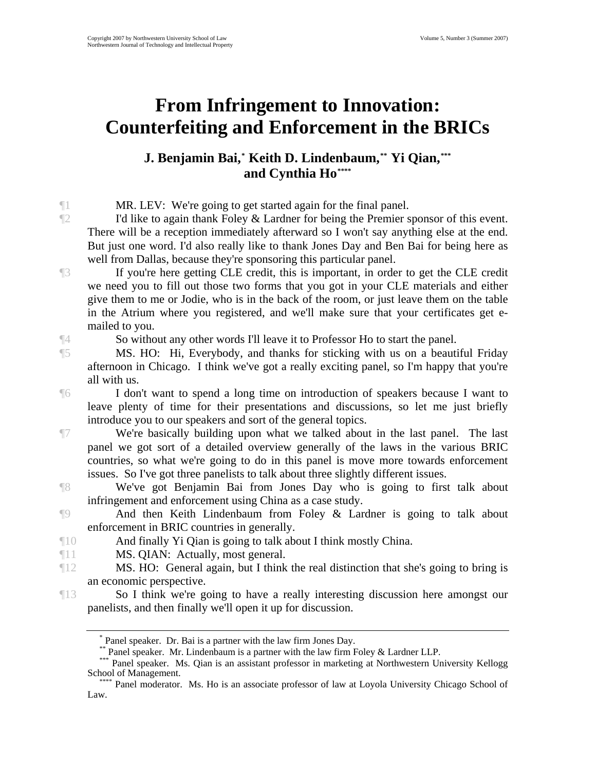# **From Infringement to Innovation: Counterfeiting and Enforcement in the BRICs**

#### **J. Benjamin Bai, Keith D. Lindenbaum, Yi Qian, \* \*\* [\\*\\*\\*](#page-2-2) and Cynthia Ho[\\*\\*\\*\\*](#page-2-3)**

¶1 MR. LEV: We're going to get started again for the final panel.

 $\mathbb{I}^2$  I'd like to again thank Foley & Lardner for being the Premier sponsor of this event. There will be a reception immediately afterward so I won't say anything else at the end. But just one word. I'd also really like to thank Jones Day and Ben Bai for being here as well from Dallas, because they're sponsoring this particular panel.

¶3 If you're here getting CLE credit, this is important, in order to get the CLE credit we need you to fill out those two forms that you got in your CLE materials and either give them to me or Jodie, who is in the back of the room, or just leave them on the table in the Atrium where you registered, and we'll make sure that your certificates get emailed to you.

¶4 So without any other words I'll leave it to Professor Ho to start the panel.

¶5 MS. HO: Hi, Everybody, and thanks for sticking with us on a beautiful Friday afternoon in Chicago. I think we've got a really exciting panel, so I'm happy that you're all with us.

¶6 I don't want to spend a long time on introduction of speakers because I want to leave plenty of time for their presentations and discussions, so let me just briefly introduce you to our speakers and sort of the general topics.

¶7 We're basically building upon what we talked about in the last panel. The last panel we got sort of a detailed overview generally of the laws in the various BRIC countries, so what we're going to do in this panel is move more towards enforcement issues. So I've got three panelists to talk about three slightly different issues.

¶8 We've got Benjamin Bai from Jones Day who is going to first talk about infringement and enforcement using China as a case study.

¶9 And then Keith Lindenbaum from Foley & Lardner is going to talk about enforcement in BRIC countries in generally.

¶10 And finally Yi Qian is going to talk about I think mostly China.

¶11 MS. QIAN: Actually, most general.

¶12 MS. HO: General again, but I think the real distinction that she's going to bring is an economic perspective.

<span id="page-2-1"></span><span id="page-2-0"></span>¶13 So I think we're going to have a really interesting discussion here amongst our panelists, and then finally we'll open it up for discussion.

<sup>\*</sup> Panel speaker. Dr. Bai is a partner with the law firm Jones Day.

Panel speaker. Mr. Lindenbaum is a partner with the law firm Foley & Lardner LLP.

<span id="page-2-2"></span><sup>\*\*\*</sup> Panel speaker. Ms. Qian is an assistant professor in marketing at Northwestern University Kellogg<br>School of Management.

<span id="page-2-3"></span>Panel moderator. Ms. Ho is an associate professor of law at Loyola University Chicago School of Law.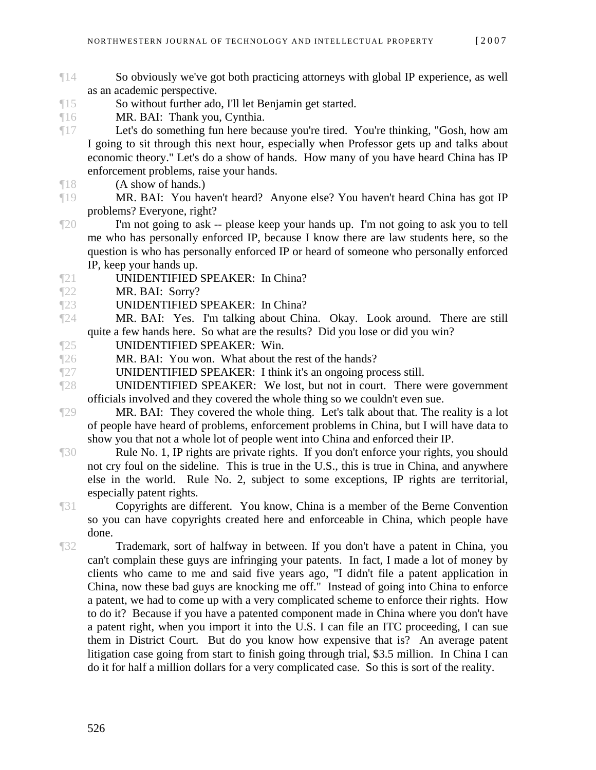- ¶14 So obviously we've got both practicing attorneys with global IP experience, as well as an academic perspective.
- ¶15 So without further ado, I'll let Benjamin get started.
- ¶16 MR. BAI: Thank you, Cynthia.
- ¶17 Let's do something fun here because you're tired. You're thinking, "Gosh, how am I going to sit through this next hour, especially when Professor gets up and talks about economic theory." Let's do a show of hands. How many of you have heard China has IP enforcement problems, raise your hands.
- ¶18 (A show of hands.)
- ¶19 MR. BAI: You haven't heard? Anyone else? You haven't heard China has got IP problems? Everyone, right?
- ¶20 I'm not going to ask -- please keep your hands up. I'm not going to ask you to tell me who has personally enforced IP, because I know there are law students here, so the question is who has personally enforced IP or heard of someone who personally enforced IP, keep your hands up.
- ¶21 UNIDENTIFIED SPEAKER: In China?
- ¶22 MR. BAI: Sorry?
- ¶23 UNIDENTIFIED SPEAKER: In China?
- ¶24 MR. BAI: Yes. I'm talking about China. Okay. Look around. There are still quite a few hands here. So what are the results? Did you lose or did you win?
- ¶25 UNIDENTIFIED SPEAKER: Win.
- ¶26 MR. BAI: You won. What about the rest of the hands?
- ¶27 UNIDENTIFIED SPEAKER: I think it's an ongoing process still.
- ¶28 UNIDENTIFIED SPEAKER: We lost, but not in court. There were government officials involved and they covered the whole thing so we couldn't even sue.
- ¶29 MR. BAI: They covered the whole thing. Let's talk about that. The reality is a lot of people have heard of problems, enforcement problems in China, but I will have data to show you that not a whole lot of people went into China and enforced their IP.
- ¶30 Rule No. 1, IP rights are private rights. If you don't enforce your rights, you should not cry foul on the sideline. This is true in the U.S., this is true in China, and anywhere else in the world. Rule No. 2, subject to some exceptions, IP rights are territorial, especially patent rights.
- ¶31 Copyrights are different. You know, China is a member of the Berne Convention so you can have copyrights created here and enforceable in China, which people have done.

¶32 Trademark, sort of halfway in between. If you don't have a patent in China, you can't complain these guys are infringing your patents. In fact, I made a lot of money by clients who came to me and said five years ago, "I didn't file a patent application in China, now these bad guys are knocking me off." Instead of going into China to enforce a patent, we had to come up with a very complicated scheme to enforce their rights. How to do it? Because if you have a patented component made in China where you don't have a patent right, when you import it into the U.S. I can file an ITC proceeding, I can sue them in District Court. But do you know how expensive that is? An average patent litigation case going from start to finish going through trial, \$3.5 million. In China I can do it for half a million dollars for a very complicated case. So this is sort of the reality.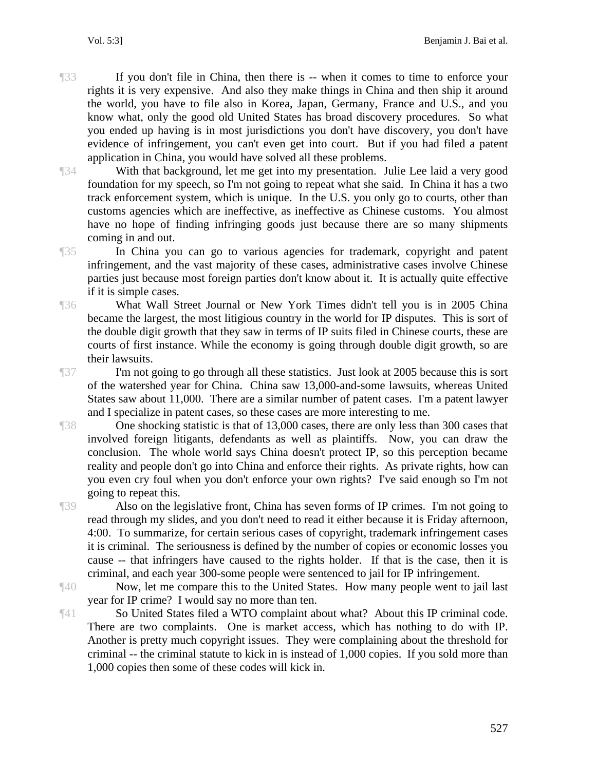¶33 If you don't file in China, then there is -- when it comes to time to enforce your rights it is very expensive. And also they make things in China and then ship it around the world, you have to file also in Korea, Japan, Germany, France and U.S., and you know what, only the good old United States has broad discovery procedures. So what you ended up having is in most jurisdictions you don't have discovery, you don't have evidence of infringement, you can't even get into court. But if you had filed a patent application in China, you would have solved all these problems.

¶34 With that background, let me get into my presentation. Julie Lee laid a very good foundation for my speech, so I'm not going to repeat what she said. In China it has a two track enforcement system, which is unique. In the U.S. you only go to courts, other than customs agencies which are ineffective, as ineffective as Chinese customs. You almost have no hope of finding infringing goods just because there are so many shipments coming in and out.

¶35 In China you can go to various agencies for trademark, copyright and patent infringement, and the vast majority of these cases, administrative cases involve Chinese parties just because most foreign parties don't know about it. It is actually quite effective if it is simple cases.

¶36 What Wall Street Journal or New York Times didn't tell you is in 2005 China became the largest, the most litigious country in the world for IP disputes. This is sort of the double digit growth that they saw in terms of IP suits filed in Chinese courts, these are courts of first instance. While the economy is going through double digit growth, so are their lawsuits.

¶37 I'm not going to go through all these statistics. Just look at 2005 because this is sort of the watershed year for China. China saw 13,000-and-some lawsuits, whereas United States saw about 11,000. There are a similar number of patent cases. I'm a patent lawyer and I specialize in patent cases, so these cases are more interesting to me.

The Summary of the shocking statistic is that of 13,000 cases, there are only less than 300 cases that involved foreign litigants, defendants as well as plaintiffs. Now, you can draw the conclusion. The whole world says China doesn't protect IP, so this perception became reality and people don't go into China and enforce their rights. As private rights, how can you even cry foul when you don't enforce your own rights? I've said enough so I'm not going to repeat this.

¶39 Also on the legislative front, China has seven forms of IP crimes. I'm not going to read through my slides, and you don't need to read it either because it is Friday afternoon, 4:00. To summarize, for certain serious cases of copyright, trademark infringement cases it is criminal. The seriousness is defined by the number of copies or economic losses you cause -- that infringers have caused to the rights holder. If that is the case, then it is criminal, and each year 300-some people were sentenced to jail for IP infringement.

¶40 Now, let me compare this to the United States. How many people went to jail last year for IP crime? I would say no more than ten.

¶41 So United States filed a WTO complaint about what? About this IP criminal code. There are two complaints. One is market access, which has nothing to do with IP. Another is pretty much copyright issues. They were complaining about the threshold for criminal -- the criminal statute to kick in is instead of 1,000 copies. If you sold more than 1,000 copies then some of these codes will kick in.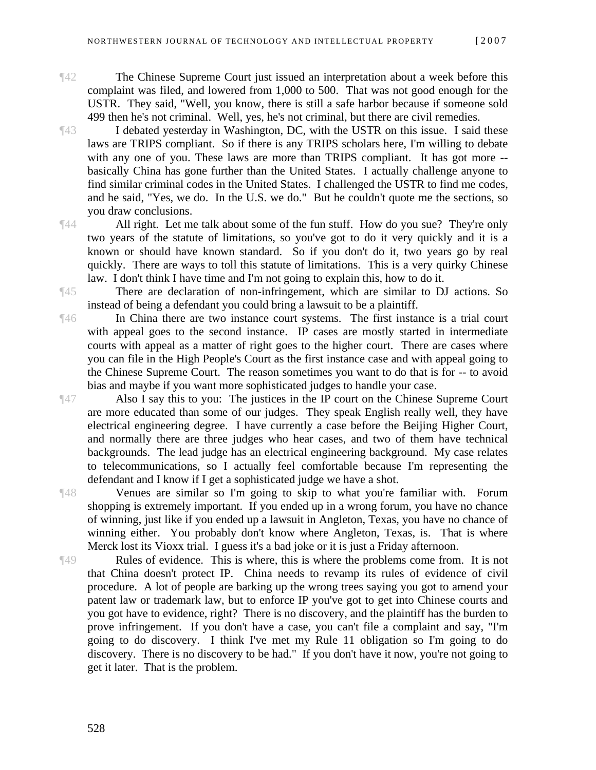- 
- ¶42 The Chinese Supreme Court just issued an interpretation about a week before this complaint was filed, and lowered from 1,000 to 500. That was not good enough for the USTR. They said, "Well, you know, there is still a safe harbor because if someone sold 499 then he's not criminal. Well, yes, he's not criminal, but there are civil remedies.

¶43 I debated yesterday in Washington, DC, with the USTR on this issue. I said these laws are TRIPS compliant. So if there is any TRIPS scholars here, I'm willing to debate with any one of you. These laws are more than TRIPS compliant. It has got more -basically China has gone further than the United States. I actually challenge anyone to find similar criminal codes in the United States. I challenged the USTR to find me codes, and he said, "Yes, we do. In the U.S. we do." But he couldn't quote me the sections, so you draw conclusions.

¶44 All right. Let me talk about some of the fun stuff. How do you sue? They're only two years of the statute of limitations, so you've got to do it very quickly and it is a known or should have known standard. So if you don't do it, two years go by real quickly. There are ways to toll this statute of limitations. This is a very quirky Chinese law. I don't think I have time and I'm not going to explain this, how to do it.

¶45 There are declaration of non-infringement, which are similar to DJ actions. So instead of being a defendant you could bring a lawsuit to be a plaintiff.

¶46 In China there are two instance court systems. The first instance is a trial court with appeal goes to the second instance. IP cases are mostly started in intermediate courts with appeal as a matter of right goes to the higher court. There are cases where you can file in the High People's Court as the first instance case and with appeal going to the Chinese Supreme Court. The reason sometimes you want to do that is for -- to avoid bias and maybe if you want more sophisticated judges to handle your case.

¶47 Also I say this to you: The justices in the IP court on the Chinese Supreme Court are more educated than some of our judges. They speak English really well, they have electrical engineering degree. I have currently a case before the Beijing Higher Court, and normally there are three judges who hear cases, and two of them have technical backgrounds. The lead judge has an electrical engineering background. My case relates to telecommunications, so I actually feel comfortable because I'm representing the defendant and I know if I get a sophisticated judge we have a shot.

¶48 Venues are similar so I'm going to skip to what you're familiar with. Forum shopping is extremely important. If you ended up in a wrong forum, you have no chance of winning, just like if you ended up a lawsuit in Angleton, Texas, you have no chance of winning either. You probably don't know where Angleton, Texas, is. That is where Merck lost its Vioxx trial. I guess it's a bad joke or it is just a Friday afternoon.

¶49 Rules of evidence. This is where, this is where the problems come from. It is not that China doesn't protect IP. China needs to revamp its rules of evidence of civil procedure. A lot of people are barking up the wrong trees saying you got to amend your patent law or trademark law, but to enforce IP you've got to get into Chinese courts and you got have to evidence, right? There is no discovery, and the plaintiff has the burden to prove infringement. If you don't have a case, you can't file a complaint and say, "I'm going to do discovery. I think I've met my Rule 11 obligation so I'm going to do discovery. There is no discovery to be had." If you don't have it now, you're not going to get it later. That is the problem.



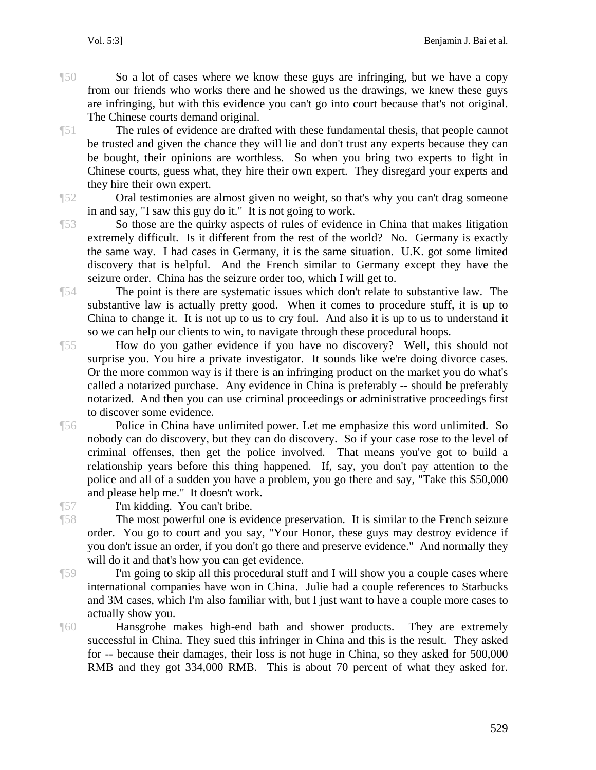¶50 So a lot of cases where we know these guys are infringing, but we have a copy from our friends who works there and he showed us the drawings, we knew these guys are infringing, but with this evidence you can't go into court because that's not original. The Chinese courts demand original.

¶51 The rules of evidence are drafted with these fundamental thesis, that people cannot be trusted and given the chance they will lie and don't trust any experts because they can be bought, their opinions are worthless. So when you bring two experts to fight in Chinese courts, guess what, they hire their own expert. They disregard your experts and they hire their own expert.

¶52 Oral testimonies are almost given no weight, so that's why you can't drag someone in and say, "I saw this guy do it." It is not going to work.

¶53 So those are the quirky aspects of rules of evidence in China that makes litigation extremely difficult. Is it different from the rest of the world? No. Germany is exactly the same way. I had cases in Germany, it is the same situation. U.K. got some limited discovery that is helpful. And the French similar to Germany except they have the seizure order. China has the seizure order too, which I will get to.

¶54 The point is there are systematic issues which don't relate to substantive law. The substantive law is actually pretty good. When it comes to procedure stuff, it is up to China to change it. It is not up to us to cry foul. And also it is up to us to understand it so we can help our clients to win, to navigate through these procedural hoops.

¶55 How do you gather evidence if you have no discovery? Well, this should not surprise you. You hire a private investigator. It sounds like we're doing divorce cases. Or the more common way is if there is an infringing product on the market you do what's called a notarized purchase. Any evidence in China is preferably -- should be preferably notarized. And then you can use criminal proceedings or administrative proceedings first to discover some evidence.

¶56 Police in China have unlimited power. Let me emphasize this word unlimited. So nobody can do discovery, but they can do discovery. So if your case rose to the level of criminal offenses, then get the police involved. That means you've got to build a relationship years before this thing happened. If, say, you don't pay attention to the police and all of a sudden you have a problem, you go there and say, "Take this \$50,000 and please help me." It doesn't work.

¶57 I'm kidding. You can't bribe.

¶58 The most powerful one is evidence preservation. It is similar to the French seizure order. You go to court and you say, "Your Honor, these guys may destroy evidence if you don't issue an order, if you don't go there and preserve evidence." And normally they will do it and that's how you can get evidence.

¶59 I'm going to skip all this procedural stuff and I will show you a couple cases where international companies have won in China. Julie had a couple references to Starbucks and 3M cases, which I'm also familiar with, but I just want to have a couple more cases to actually show you.

¶60 Hansgrohe makes high-end bath and shower products. They are extremely successful in China. They sued this infringer in China and this is the result. They asked for -- because their damages, their loss is not huge in China, so they asked for 500,000 RMB and they got 334,000 RMB. This is about 70 percent of what they asked for.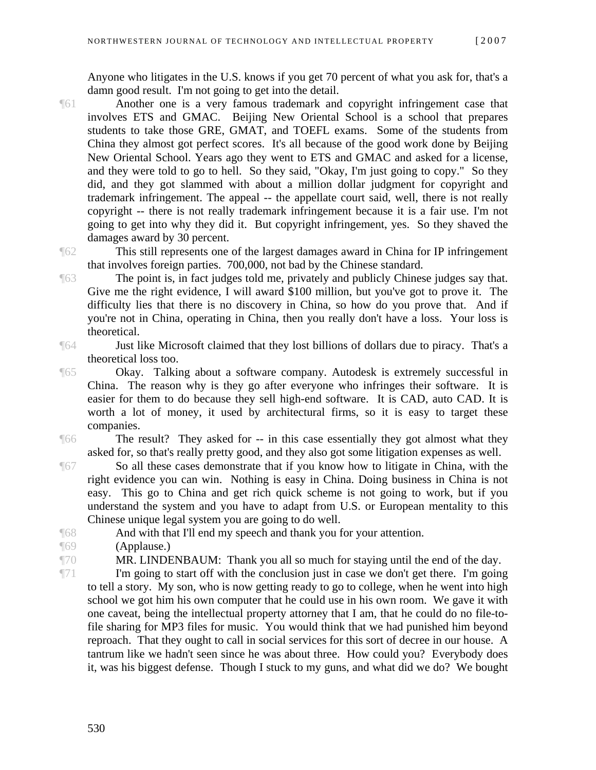Anyone who litigates in the U.S. knows if you get 70 percent of what you ask for, that's a damn good result. I'm not going to get into the detail.

- ¶61 Another one is a very famous trademark and copyright infringement case that involves ETS and GMAC. Beijing New Oriental School is a school that prepares students to take those GRE, GMAT, and TOEFL exams. Some of the students from China they almost got perfect scores. It's all because of the good work done by Beijing New Oriental School. Years ago they went to ETS and GMAC and asked for a license, and they were told to go to hell. So they said, "Okay, I'm just going to copy." So they did, and they got slammed with about a million dollar judgment for copyright and trademark infringement. The appeal -- the appellate court said, well, there is not really copyright -- there is not really trademark infringement because it is a fair use. I'm not going to get into why they did it. But copyright infringement, yes. So they shaved the damages award by 30 percent.
- ¶62 This still represents one of the largest damages award in China for IP infringement that involves foreign parties. 700,000, not bad by the Chinese standard.
- ¶63 The point is, in fact judges told me, privately and publicly Chinese judges say that. Give me the right evidence, I will award \$100 million, but you've got to prove it. The difficulty lies that there is no discovery in China, so how do you prove that. And if you're not in China, operating in China, then you really don't have a loss. Your loss is theoretical.
- ¶64 Just like Microsoft claimed that they lost billions of dollars due to piracy. That's a theoretical loss too.
- ¶65 Okay. Talking about a software company. Autodesk is extremely successful in China. The reason why is they go after everyone who infringes their software. It is easier for them to do because they sell high-end software. It is CAD, auto CAD. It is worth a lot of money, it used by architectural firms, so it is easy to target these companies.
- The result? They asked for -- in this case essentially they got almost what they asked for, so that's really pretty good, and they also got some litigation expenses as well.
- ¶67 So all these cases demonstrate that if you know how to litigate in China, with the right evidence you can win. Nothing is easy in China. Doing business in China is not easy. This go to China and get rich quick scheme is not going to work, but if you understand the system and you have to adapt from U.S. or European mentality to this Chinese unique legal system you are going to do well.
- 
- ¶68 And with that I'll end my speech and thank you for your attention.
- ¶69 (Applause.)
- 

¶70 MR. LINDENBAUM: Thank you all so much for staying until the end of the day.

¶71 I'm going to start off with the conclusion just in case we don't get there. I'm going to tell a story. My son, who is now getting ready to go to college, when he went into high school we got him his own computer that he could use in his own room. We gave it with one caveat, being the intellectual property attorney that I am, that he could do no file-tofile sharing for MP3 files for music. You would think that we had punished him beyond reproach. That they ought to call in social services for this sort of decree in our house. A tantrum like we hadn't seen since he was about three. How could you? Everybody does it, was his biggest defense. Though I stuck to my guns, and what did we do? We bought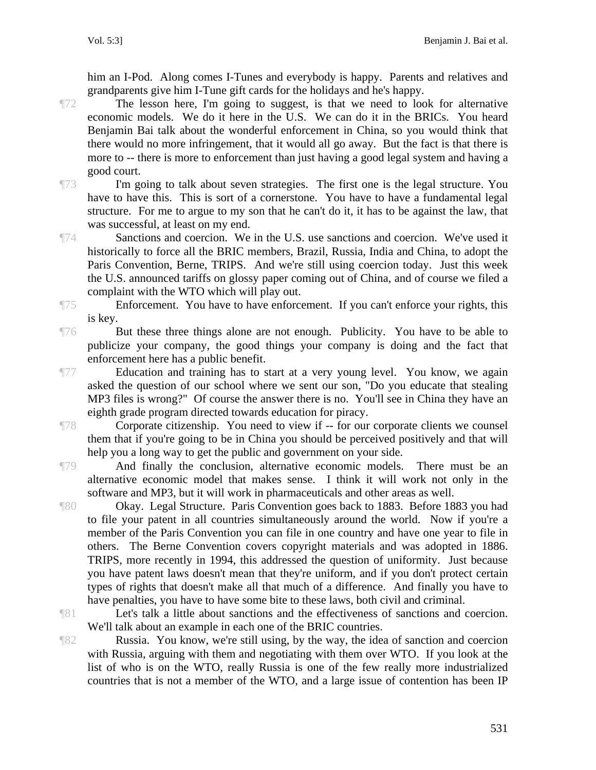him an I-Pod. Along comes I-Tunes and everybody is happy. Parents and relatives and grandparents give him I-Tune gift cards for the holidays and he's happy.

¶72 The lesson here, I'm going to suggest, is that we need to look for alternative economic models. We do it here in the U.S. We can do it in the BRICs. You heard Benjamin Bai talk about the wonderful enforcement in China, so you would think that there would no more infringement, that it would all go away. But the fact is that there is more to -- there is more to enforcement than just having a good legal system and having a good court.

¶73 I'm going to talk about seven strategies. The first one is the legal structure. You have to have this. This is sort of a cornerstone. You have to have a fundamental legal structure. For me to argue to my son that he can't do it, it has to be against the law, that was successful, at least on my end.

¶74 Sanctions and coercion. We in the U.S. use sanctions and coercion. We've used it historically to force all the BRIC members, Brazil, Russia, India and China, to adopt the Paris Convention, Berne, TRIPS. And we're still using coercion today. Just this week the U.S. announced tariffs on glossy paper coming out of China, and of course we filed a complaint with the WTO which will play out.

¶75 Enforcement. You have to have enforcement. If you can't enforce your rights, this is key.

¶76 But these three things alone are not enough. Publicity. You have to be able to publicize your company, the good things your company is doing and the fact that enforcement here has a public benefit.

¶77 Education and training has to start at a very young level. You know, we again asked the question of our school where we sent our son, "Do you educate that stealing MP3 files is wrong?" Of course the answer there is no. You'll see in China they have an eighth grade program directed towards education for piracy.

¶78 Corporate citizenship. You need to view if -- for our corporate clients we counsel them that if you're going to be in China you should be perceived positively and that will help you a long way to get the public and government on your side.

¶79 And finally the conclusion, alternative economic models. There must be an alternative economic model that makes sense. I think it will work not only in the software and MP3, but it will work in pharmaceuticals and other areas as well.

¶80 Okay. Legal Structure. Paris Convention goes back to 1883. Before 1883 you had to file your patent in all countries simultaneously around the world. Now if you're a member of the Paris Convention you can file in one country and have one year to file in others. The Berne Convention covers copyright materials and was adopted in 1886. TRIPS, more recently in 1994, this addressed the question of uniformity. Just because you have patent laws doesn't mean that they're uniform, and if you don't protect certain types of rights that doesn't make all that much of a difference. And finally you have to have penalties, you have to have some bite to these laws, both civil and criminal.

¶81 Let's talk a little about sanctions and the effectiveness of sanctions and coercion. We'll talk about an example in each one of the BRIC countries.

¶82 Russia. You know, we're still using, by the way, the idea of sanction and coercion with Russia, arguing with them and negotiating with them over WTO. If you look at the list of who is on the WTO, really Russia is one of the few really more industrialized countries that is not a member of the WTO, and a large issue of contention has been IP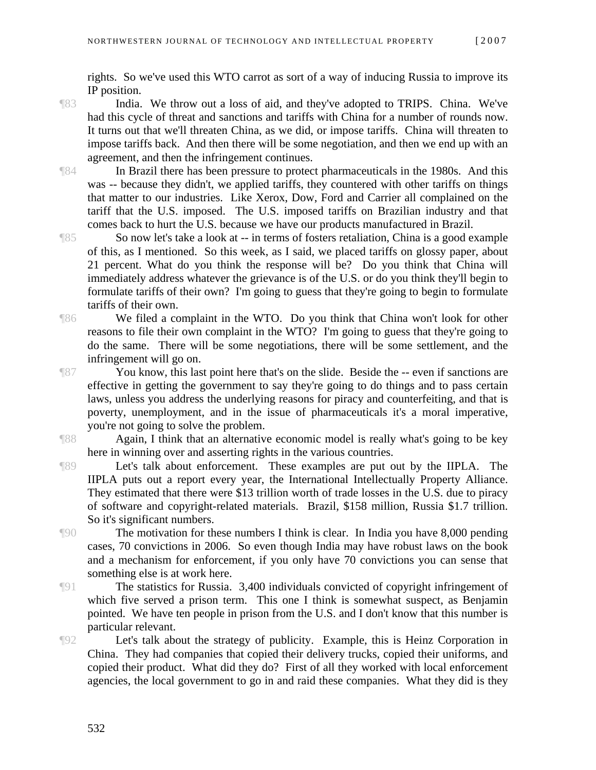rights. So we've used this WTO carrot as sort of a way of inducing Russia to improve its IP position.

¶83 India. We throw out a loss of aid, and they've adopted to TRIPS. China. We've had this cycle of threat and sanctions and tariffs with China for a number of rounds now. It turns out that we'll threaten China, as we did, or impose tariffs. China will threaten to impose tariffs back. And then there will be some negotiation, and then we end up with an agreement, and then the infringement continues.

¶84 In Brazil there has been pressure to protect pharmaceuticals in the 1980s. And this was -- because they didn't, we applied tariffs, they countered with other tariffs on things that matter to our industries. Like Xerox, Dow, Ford and Carrier all complained on the tariff that the U.S. imposed. The U.S. imposed tariffs on Brazilian industry and that comes back to hurt the U.S. because we have our products manufactured in Brazil.

¶85 So now let's take a look at -- in terms of fosters retaliation, China is a good example of this, as I mentioned. So this week, as I said, we placed tariffs on glossy paper, about 21 percent. What do you think the response will be? Do you think that China will immediately address whatever the grievance is of the U.S. or do you think they'll begin to formulate tariffs of their own? I'm going to guess that they're going to begin to formulate tariffs of their own.

¶86 We filed a complaint in the WTO. Do you think that China won't look for other reasons to file their own complaint in the WTO? I'm going to guess that they're going to do the same. There will be some negotiations, there will be some settlement, and the infringement will go on.

¶87 You know, this last point here that's on the slide. Beside the -- even if sanctions are effective in getting the government to say they're going to do things and to pass certain laws, unless you address the underlying reasons for piracy and counterfeiting, and that is poverty, unemployment, and in the issue of pharmaceuticals it's a moral imperative, you're not going to solve the problem.

¶88 Again, I think that an alternative economic model is really what's going to be key here in winning over and asserting rights in the various countries.

¶89 Let's talk about enforcement. These examples are put out by the IIPLA. The IIPLA puts out a report every year, the International Intellectually Property Alliance. They estimated that there were \$13 trillion worth of trade losses in the U.S. due to piracy of software and copyright-related materials. Brazil, \$158 million, Russia \$1.7 trillion. So it's significant numbers.

¶90 The motivation for these numbers I think is clear. In India you have 8,000 pending cases, 70 convictions in 2006. So even though India may have robust laws on the book and a mechanism for enforcement, if you only have 70 convictions you can sense that something else is at work here.

¶91 The statistics for Russia. 3,400 individuals convicted of copyright infringement of which five served a prison term. This one I think is somewhat suspect, as Benjamin pointed. We have ten people in prison from the U.S. and I don't know that this number is particular relevant.

¶92 Let's talk about the strategy of publicity. Example, this is Heinz Corporation in China. They had companies that copied their delivery trucks, copied their uniforms, and copied their product. What did they do? First of all they worked with local enforcement agencies, the local government to go in and raid these companies. What they did is they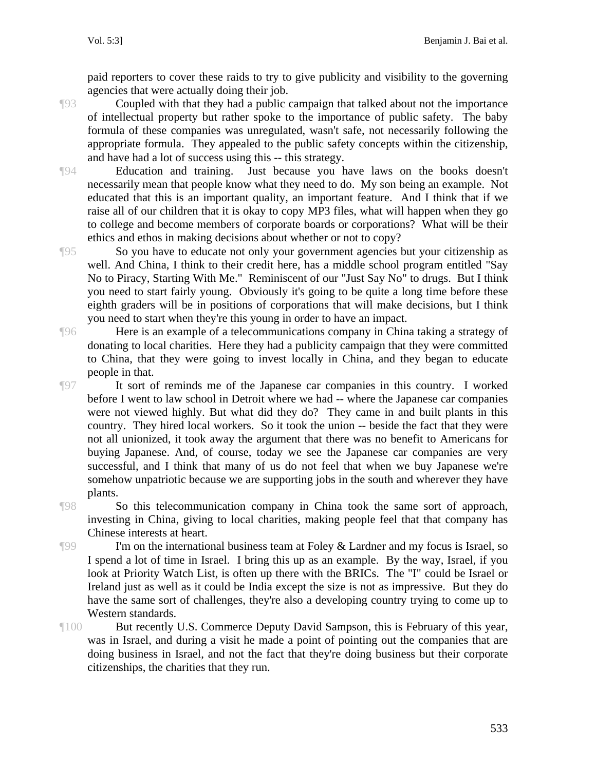paid reporters to cover these raids to try to give publicity and visibility to the governing agencies that were actually doing their job.

of intellectual property but rather spoke to the importance of public safety. The baby formula of these companies was unregulated, wasn't safe, not necessarily following the appropriate formula. They appealed to the public safety concepts within the citizenship,

and have had a lot of success using this -- this strategy.

¶93 Coupled with that they had a public campaign that talked about not the importance

¶94 Education and training. Just because you have laws on the books doesn't necessarily mean that people know what they need to do. My son being an example. Not educated that this is an important quality, an important feature. And I think that if we raise all of our children that it is okay to copy MP3 files, what will happen when they go to college and become members of corporate boards or corporations? What will be their ethics and ethos in making decisions about whether or not to copy?

¶95 So you have to educate not only your government agencies but your citizenship as well. And China, I think to their credit here, has a middle school program entitled "Say No to Piracy, Starting With Me." Reminiscent of our "Just Say No" to drugs. But I think you need to start fairly young. Obviously it's going to be quite a long time before these eighth graders will be in positions of corporations that will make decisions, but I think you need to start when they're this young in order to have an impact.

¶96 Here is an example of a telecommunications company in China taking a strategy of donating to local charities. Here they had a publicity campaign that they were committed to China, that they were going to invest locally in China, and they began to educate people in that.

¶97 It sort of reminds me of the Japanese car companies in this country. I worked before I went to law school in Detroit where we had -- where the Japanese car companies were not viewed highly. But what did they do? They came in and built plants in this country. They hired local workers. So it took the union -- beside the fact that they were not all unionized, it took away the argument that there was no benefit to Americans for buying Japanese. And, of course, today we see the Japanese car companies are very successful, and I think that many of us do not feel that when we buy Japanese we're somehow unpatriotic because we are supporting jobs in the south and wherever they have plants.

¶98 So this telecommunication company in China took the same sort of approach, investing in China, giving to local charities, making people feel that that company has Chinese interests at heart.

**The I'm on the international business team at Foley & Lardner and my focus is Israel, so** I spend a lot of time in Israel. I bring this up as an example. By the way, Israel, if you look at Priority Watch List, is often up there with the BRICs. The "I" could be Israel or Ireland just as well as it could be India except the size is not as impressive. But they do have the same sort of challenges, they're also a developing country trying to come up to Western standards.

¶100 But recently U.S. Commerce Deputy David Sampson, this is February of this year, was in Israel, and during a visit he made a point of pointing out the companies that are doing business in Israel, and not the fact that they're doing business but their corporate citizenships, the charities that they run.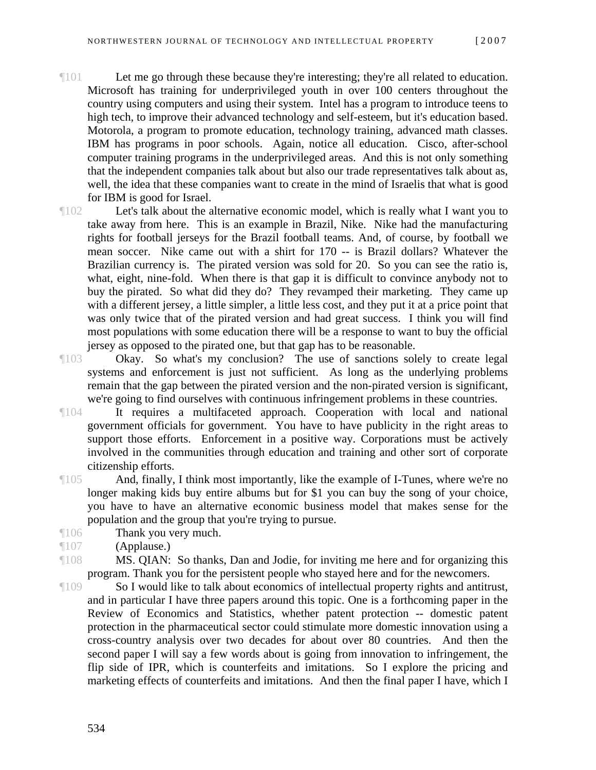- ¶101 Let me go through these because they're interesting; they're all related to education. Microsoft has training for underprivileged youth in over 100 centers throughout the country using computers and using their system. Intel has a program to introduce teens to high tech, to improve their advanced technology and self-esteem, but it's education based. Motorola, a program to promote education, technology training, advanced math classes. IBM has programs in poor schools. Again, notice all education. Cisco, after-school computer training programs in the underprivileged areas. And this is not only something that the independent companies talk about but also our trade representatives talk about as, well, the idea that these companies want to create in the mind of Israelis that what is good for IBM is good for Israel.
- ¶102 Let's talk about the alternative economic model, which is really what I want you to take away from here. This is an example in Brazil, Nike. Nike had the manufacturing rights for football jerseys for the Brazil football teams. And, of course, by football we mean soccer. Nike came out with a shirt for 170 -- is Brazil dollars? Whatever the Brazilian currency is. The pirated version was sold for 20. So you can see the ratio is, what, eight, nine-fold. When there is that gap it is difficult to convince anybody not to buy the pirated. So what did they do? They revamped their marketing. They came up with a different jersey, a little simpler, a little less cost, and they put it at a price point that was only twice that of the pirated version and had great success. I think you will find most populations with some education there will be a response to want to buy the official jersey as opposed to the pirated one, but that gap has to be reasonable.
- ¶103 Okay. So what's my conclusion? The use of sanctions solely to create legal systems and enforcement is just not sufficient. As long as the underlying problems remain that the gap between the pirated version and the non-pirated version is significant, we're going to find ourselves with continuous infringement problems in these countries.
- ¶104 It requires a multifaceted approach. Cooperation with local and national government officials for government. You have to have publicity in the right areas to support those efforts. Enforcement in a positive way. Corporations must be actively involved in the communities through education and training and other sort of corporate citizenship efforts.
- ¶105 And, finally, I think most importantly, like the example of I-Tunes, where we're no longer making kids buy entire albums but for \$1 you can buy the song of your choice, you have to have an alternative economic business model that makes sense for the population and the group that you're trying to pursue.
- ¶106 Thank you very much.
- ¶107 (Applause.)
- ¶108 MS. QIAN: So thanks, Dan and Jodie, for inviting me here and for organizing this program. Thank you for the persistent people who stayed here and for the newcomers.
- ¶109 So I would like to talk about economics of intellectual property rights and antitrust, and in particular I have three papers around this topic. One is a forthcoming paper in the Review of Economics and Statistics, whether patent protection -- domestic patent protection in the pharmaceutical sector could stimulate more domestic innovation using a cross-country analysis over two decades for about over 80 countries. And then the second paper I will say a few words about is going from innovation to infringement, the flip side of IPR, which is counterfeits and imitations. So I explore the pricing and marketing effects of counterfeits and imitations. And then the final paper I have, which I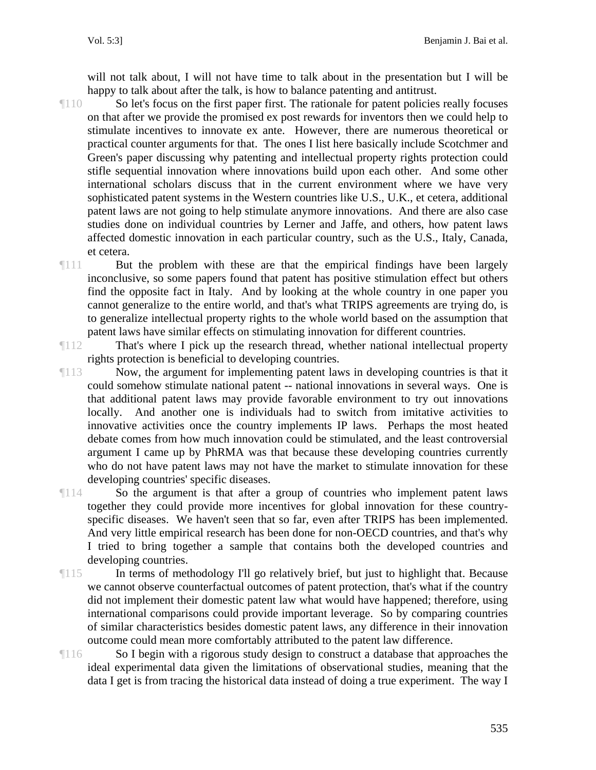will not talk about, I will not have time to talk about in the presentation but I will be happy to talk about after the talk, is how to balance patenting and antitrust.

- ¶110 So let's focus on the first paper first. The rationale for patent policies really focuses on that after we provide the promised ex post rewards for inventors then we could help to stimulate incentives to innovate ex ante. However, there are numerous theoretical or practical counter arguments for that. The ones I list here basically include Scotchmer and Green's paper discussing why patenting and intellectual property rights protection could stifle sequential innovation where innovations build upon each other. And some other international scholars discuss that in the current environment where we have very sophisticated patent systems in the Western countries like U.S., U.K., et cetera, additional patent laws are not going to help stimulate anymore innovations. And there are also case studies done on individual countries by Lerner and Jaffe, and others, how patent laws affected domestic innovation in each particular country, such as the U.S., Italy, Canada, et cetera.
- ¶111 But the problem with these are that the empirical findings have been largely inconclusive, so some papers found that patent has positive stimulation effect but others find the opposite fact in Italy. And by looking at the whole country in one paper you cannot generalize to the entire world, and that's what TRIPS agreements are trying do, is to generalize intellectual property rights to the whole world based on the assumption that patent laws have similar effects on stimulating innovation for different countries.

¶112 That's where I pick up the research thread, whether national intellectual property rights protection is beneficial to developing countries.

¶113 Now, the argument for implementing patent laws in developing countries is that it could somehow stimulate national patent -- national innovations in several ways. One is that additional patent laws may provide favorable environment to try out innovations locally. And another one is individuals had to switch from imitative activities to innovative activities once the country implements IP laws. Perhaps the most heated debate comes from how much innovation could be stimulated, and the least controversial argument I came up by PhRMA was that because these developing countries currently who do not have patent laws may not have the market to stimulate innovation for these developing countries' specific diseases.

¶114 So the argument is that after a group of countries who implement patent laws together they could provide more incentives for global innovation for these countryspecific diseases. We haven't seen that so far, even after TRIPS has been implemented. And very little empirical research has been done for non-OECD countries, and that's why I tried to bring together a sample that contains both the developed countries and developing countries.

- ¶115 In terms of methodology I'll go relatively brief, but just to highlight that. Because we cannot observe counterfactual outcomes of patent protection, that's what if the country did not implement their domestic patent law what would have happened; therefore, using international comparisons could provide important leverage. So by comparing countries of similar characteristics besides domestic patent laws, any difference in their innovation outcome could mean more comfortably attributed to the patent law difference.
- ¶116 So I begin with a rigorous study design to construct a database that approaches the ideal experimental data given the limitations of observational studies, meaning that the data I get is from tracing the historical data instead of doing a true experiment. The way I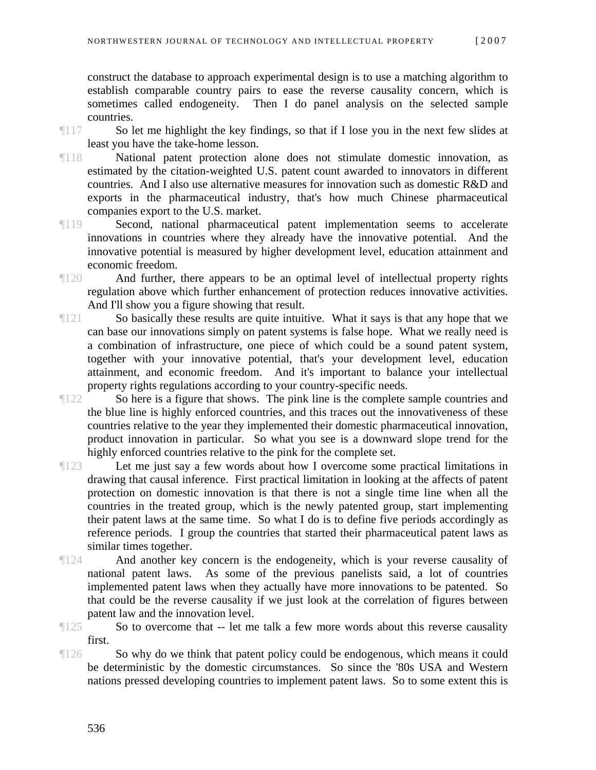construct the database to approach experimental design is to use a matching algorithm to establish comparable country pairs to ease the reverse causality concern, which is sometimes called endogeneity. Then I do panel analysis on the selected sample countries.

- ¶117 So let me highlight the key findings, so that if I lose you in the next few slides at least you have the take-home lesson.
- ¶118 National patent protection alone does not stimulate domestic innovation, as estimated by the citation-weighted U.S. patent count awarded to innovators in different countries. And I also use alternative measures for innovation such as domestic R&D and exports in the pharmaceutical industry, that's how much Chinese pharmaceutical companies export to the U.S. market.
- ¶119 Second, national pharmaceutical patent implementation seems to accelerate innovations in countries where they already have the innovative potential. And the innovative potential is measured by higher development level, education attainment and economic freedom.
- ¶120 And further, there appears to be an optimal level of intellectual property rights regulation above which further enhancement of protection reduces innovative activities. And I'll show you a figure showing that result.
- ¶121 So basically these results are quite intuitive. What it says is that any hope that we can base our innovations simply on patent systems is false hope. What we really need is a combination of infrastructure, one piece of which could be a sound patent system, together with your innovative potential, that's your development level, education attainment, and economic freedom. And it's important to balance your intellectual property rights regulations according to your country-specific needs.
- ¶122 So here is a figure that shows. The pink line is the complete sample countries and the blue line is highly enforced countries, and this traces out the innovativeness of these countries relative to the year they implemented their domestic pharmaceutical innovation, product innovation in particular. So what you see is a downward slope trend for the highly enforced countries relative to the pink for the complete set.
- ¶123 Let me just say a few words about how I overcome some practical limitations in drawing that causal inference. First practical limitation in looking at the affects of patent protection on domestic innovation is that there is not a single time line when all the countries in the treated group, which is the newly patented group, start implementing their patent laws at the same time. So what I do is to define five periods accordingly as reference periods. I group the countries that started their pharmaceutical patent laws as similar times together.
- ¶124 And another key concern is the endogeneity, which is your reverse causality of national patent laws. As some of the previous panelists said, a lot of countries implemented patent laws when they actually have more innovations to be patented. So that could be the reverse causality if we just look at the correlation of figures between patent law and the innovation level.
- ¶125 So to overcome that -- let me talk a few more words about this reverse causality first.
- ¶126 So why do we think that patent policy could be endogenous, which means it could be deterministic by the domestic circumstances. So since the '80s USA and Western nations pressed developing countries to implement patent laws. So to some extent this is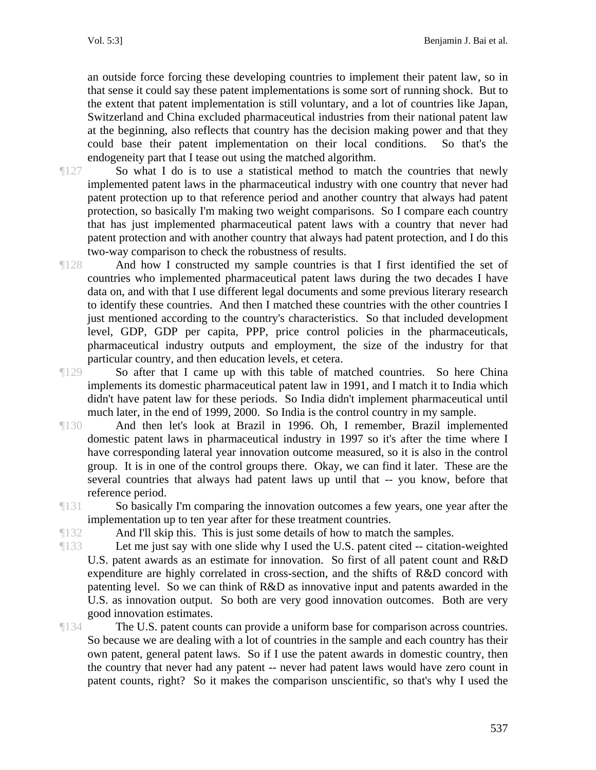an outside force forcing these developing countries to implement their patent law, so in that sense it could say these patent implementations is some sort of running shock. But to the extent that patent implementation is still voluntary, and a lot of countries like Japan, Switzerland and China excluded pharmaceutical industries from their national patent law at the beginning, also reflects that country has the decision making power and that they could base their patent implementation on their local conditions. So that's the endogeneity part that I tease out using the matched algorithm.

¶127 So what I do is to use a statistical method to match the countries that newly implemented patent laws in the pharmaceutical industry with one country that never had patent protection up to that reference period and another country that always had patent protection, so basically I'm making two weight comparisons. So I compare each country that has just implemented pharmaceutical patent laws with a country that never had patent protection and with another country that always had patent protection, and I do this two-way comparison to check the robustness of results.

¶128 And how I constructed my sample countries is that I first identified the set of countries who implemented pharmaceutical patent laws during the two decades I have data on, and with that I use different legal documents and some previous literary research to identify these countries. And then I matched these countries with the other countries I just mentioned according to the country's characteristics. So that included development level, GDP, GDP per capita, PPP, price control policies in the pharmaceuticals, pharmaceutical industry outputs and employment, the size of the industry for that particular country, and then education levels, et cetera.

¶129 So after that I came up with this table of matched countries. So here China implements its domestic pharmaceutical patent law in 1991, and I match it to India which didn't have patent law for these periods. So India didn't implement pharmaceutical until much later, in the end of 1999, 2000. So India is the control country in my sample.

¶130 And then let's look at Brazil in 1996. Oh, I remember, Brazil implemented domestic patent laws in pharmaceutical industry in 1997 so it's after the time where I have corresponding lateral year innovation outcome measured, so it is also in the control group. It is in one of the control groups there. Okay, we can find it later. These are the several countries that always had patent laws up until that -- you know, before that reference period.

¶131 So basically I'm comparing the innovation outcomes a few years, one year after the implementation up to ten year after for these treatment countries.

¶132 And I'll skip this. This is just some details of how to match the samples.

¶133 Let me just say with one slide why I used the U.S. patent cited -- citation-weighted U.S. patent awards as an estimate for innovation. So first of all patent count and R&D expenditure are highly correlated in cross-section, and the shifts of R&D concord with patenting level. So we can think of R&D as innovative input and patents awarded in the U.S. as innovation output. So both are very good innovation outcomes. Both are very good innovation estimates.

¶134 The U.S. patent counts can provide a uniform base for comparison across countries. So because we are dealing with a lot of countries in the sample and each country has their own patent, general patent laws. So if I use the patent awards in domestic country, then the country that never had any patent -- never had patent laws would have zero count in patent counts, right? So it makes the comparison unscientific, so that's why I used the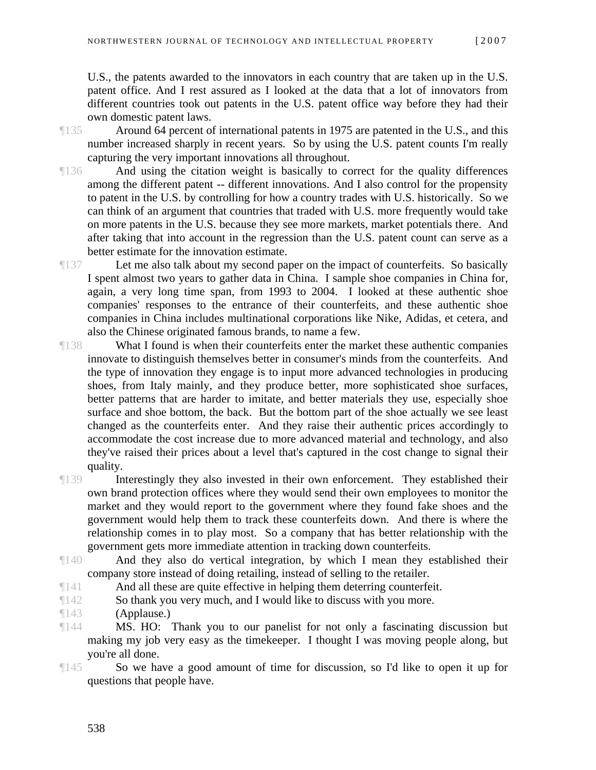U.S., the patents awarded to the innovators in each country that are taken up in the U.S. patent office. And I rest assured as I looked at the data that a lot of innovators from different countries took out patents in the U.S. patent office way before they had their own domestic patent laws.

¶135 Around 64 percent of international patents in 1975 are patented in the U.S., and this number increased sharply in recent years. So by using the U.S. patent counts I'm really capturing the very important innovations all throughout.

¶136 And using the citation weight is basically to correct for the quality differences among the different patent -- different innovations. And I also control for the propensity to patent in the U.S. by controlling for how a country trades with U.S. historically. So we can think of an argument that countries that traded with U.S. more frequently would take on more patents in the U.S. because they see more markets, market potentials there. And after taking that into account in the regression than the U.S. patent count can serve as a better estimate for the innovation estimate.

¶137 Let me also talk about my second paper on the impact of counterfeits. So basically I spent almost two years to gather data in China. I sample shoe companies in China for, again, a very long time span, from 1993 to 2004. I looked at these authentic shoe companies' responses to the entrance of their counterfeits, and these authentic shoe companies in China includes multinational corporations like Nike, Adidas, et cetera, and also the Chinese originated famous brands, to name a few.

- ¶138 What I found is when their counterfeits enter the market these authentic companies innovate to distinguish themselves better in consumer's minds from the counterfeits. And the type of innovation they engage is to input more advanced technologies in producing shoes, from Italy mainly, and they produce better, more sophisticated shoe surfaces, better patterns that are harder to imitate, and better materials they use, especially shoe surface and shoe bottom, the back. But the bottom part of the shoe actually we see least changed as the counterfeits enter. And they raise their authentic prices accordingly to accommodate the cost increase due to more advanced material and technology, and also they've raised their prices about a level that's captured in the cost change to signal their quality.
- ¶139 Interestingly they also invested in their own enforcement. They established their own brand protection offices where they would send their own employees to monitor the market and they would report to the government where they found fake shoes and the government would help them to track these counterfeits down. And there is where the relationship comes in to play most. So a company that has better relationship with the government gets more immediate attention in tracking down counterfeits.
- ¶140 And they also do vertical integration, by which I mean they established their company store instead of doing retailing, instead of selling to the retailer.

¶141 And all these are quite effective in helping them deterring counterfeit.

¶142 So thank you very much, and I would like to discuss with you more.

¶143 (Applause.)

¶144 MS. HO: Thank you to our panelist for not only a fascinating discussion but making my job very easy as the timekeeper. I thought I was moving people along, but you're all done.

¶145 So we have a good amount of time for discussion, so I'd like to open it up for questions that people have.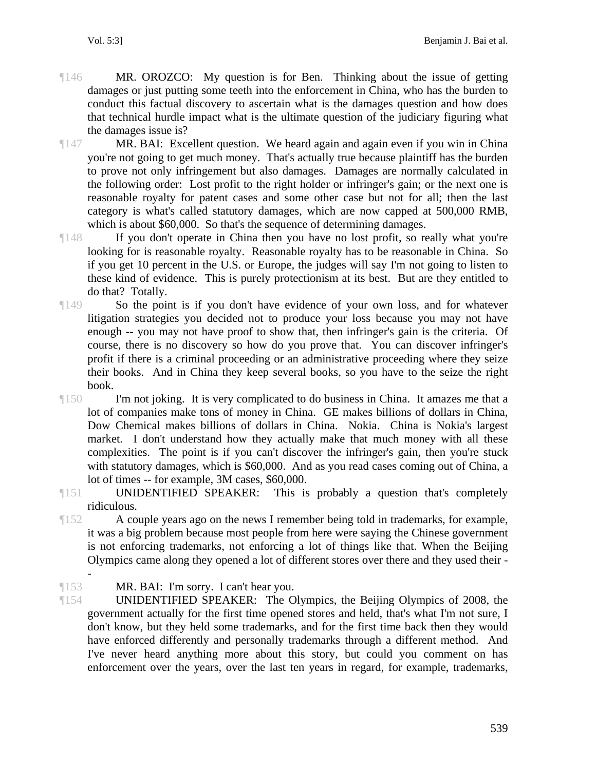- ¶146 MR. OROZCO: My question is for Ben. Thinking about the issue of getting damages or just putting some teeth into the enforcement in China, who has the burden to conduct this factual discovery to ascertain what is the damages question and how does that technical hurdle impact what is the ultimate question of the judiciary figuring what the damages issue is?
- ¶147 MR. BAI: Excellent question. We heard again and again even if you win in China you're not going to get much money. That's actually true because plaintiff has the burden to prove not only infringement but also damages. Damages are normally calculated in the following order: Lost profit to the right holder or infringer's gain; or the next one is reasonable royalty for patent cases and some other case but not for all; then the last category is what's called statutory damages, which are now capped at 500,000 RMB, which is about \$60,000. So that's the sequence of determining damages.
- ¶148 If you don't operate in China then you have no lost profit, so really what you're looking for is reasonable royalty. Reasonable royalty has to be reasonable in China. So if you get 10 percent in the U.S. or Europe, the judges will say I'm not going to listen to these kind of evidence. This is purely protectionism at its best. But are they entitled to do that? Totally.
- ¶149 So the point is if you don't have evidence of your own loss, and for whatever litigation strategies you decided not to produce your loss because you may not have enough -- you may not have proof to show that, then infringer's gain is the criteria. Of course, there is no discovery so how do you prove that. You can discover infringer's profit if there is a criminal proceeding or an administrative proceeding where they seize their books. And in China they keep several books, so you have to the seize the right book.
- ¶150 I'm not joking. It is very complicated to do business in China. It amazes me that a lot of companies make tons of money in China. GE makes billions of dollars in China, Dow Chemical makes billions of dollars in China. Nokia. China is Nokia's largest market. I don't understand how they actually make that much money with all these complexities. The point is if you can't discover the infringer's gain, then you're stuck with statutory damages, which is \$60,000. And as you read cases coming out of China, a lot of times -- for example, 3M cases, \$60,000.
- ¶151 UNIDENTIFIED SPEAKER: This is probably a question that's completely ridiculous.
- ¶152 A couple years ago on the news I remember being told in trademarks, for example, it was a big problem because most people from here were saying the Chinese government is not enforcing trademarks, not enforcing a lot of things like that. When the Beijing Olympics came along they opened a lot of different stores over there and they used their -

¶153 MR. BAI: I'm sorry. I can't hear you.

-

¶154 UNIDENTIFIED SPEAKER: The Olympics, the Beijing Olympics of 2008, the government actually for the first time opened stores and held, that's what I'm not sure, I don't know, but they held some trademarks, and for the first time back then they would have enforced differently and personally trademarks through a different method. And I've never heard anything more about this story, but could you comment on has enforcement over the years, over the last ten years in regard, for example, trademarks,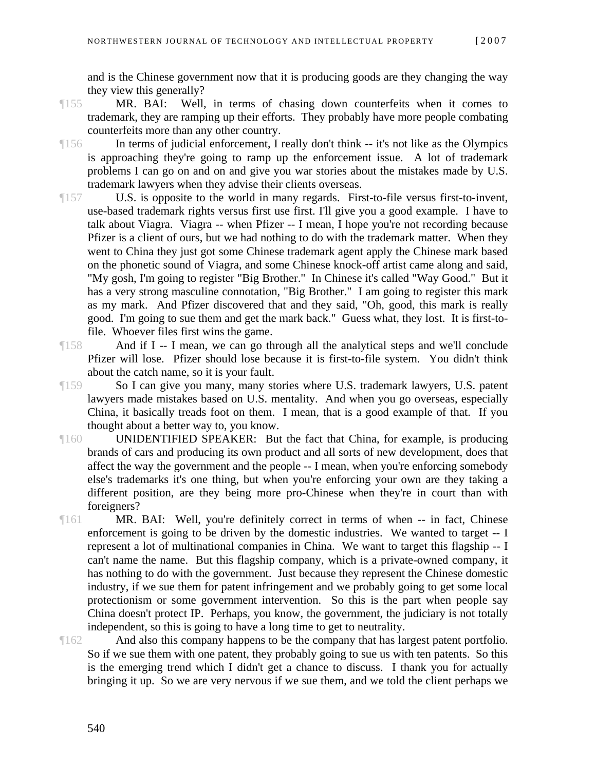and is the Chinese government now that it is producing goods are they changing the way they view this generally?

- ¶155 MR. BAI: Well, in terms of chasing down counterfeits when it comes to trademark, they are ramping up their efforts. They probably have more people combating counterfeits more than any other country.
- ¶156 In terms of judicial enforcement, I really don't think -- it's not like as the Olympics is approaching they're going to ramp up the enforcement issue. A lot of trademark problems I can go on and on and give you war stories about the mistakes made by U.S. trademark lawyers when they advise their clients overseas.
- ¶157 U.S. is opposite to the world in many regards. First-to-file versus first-to-invent, use-based trademark rights versus first use first. I'll give you a good example. I have to talk about Viagra. Viagra -- when Pfizer -- I mean, I hope you're not recording because Pfizer is a client of ours, but we had nothing to do with the trademark matter. When they went to China they just got some Chinese trademark agent apply the Chinese mark based on the phonetic sound of Viagra, and some Chinese knock-off artist came along and said, "My gosh, I'm going to register "Big Brother." In Chinese it's called "Way Good." But it has a very strong masculine connotation, "Big Brother." I am going to register this mark as my mark. And Pfizer discovered that and they said, "Oh, good, this mark is really good. I'm going to sue them and get the mark back." Guess what, they lost. It is first-tofile. Whoever files first wins the game.
- ¶158 And if I -- I mean, we can go through all the analytical steps and we'll conclude Pfizer will lose. Pfizer should lose because it is first-to-file system. You didn't think about the catch name, so it is your fault.
- ¶159 So I can give you many, many stories where U.S. trademark lawyers, U.S. patent lawyers made mistakes based on U.S. mentality. And when you go overseas, especially China, it basically treads foot on them. I mean, that is a good example of that. If you thought about a better way to, you know.
- ¶160 UNIDENTIFIED SPEAKER: But the fact that China, for example, is producing brands of cars and producing its own product and all sorts of new development, does that affect the way the government and the people -- I mean, when you're enforcing somebody else's trademarks it's one thing, but when you're enforcing your own are they taking a different position, are they being more pro-Chinese when they're in court than with foreigners?
- ¶161 MR. BAI: Well, you're definitely correct in terms of when -- in fact, Chinese enforcement is going to be driven by the domestic industries. We wanted to target -- I represent a lot of multinational companies in China. We want to target this flagship -- I can't name the name. But this flagship company, which is a private-owned company, it has nothing to do with the government. Just because they represent the Chinese domestic industry, if we sue them for patent infringement and we probably going to get some local protectionism or some government intervention. So this is the part when people say China doesn't protect IP. Perhaps, you know, the government, the judiciary is not totally independent, so this is going to have a long time to get to neutrality.
- ¶162 And also this company happens to be the company that has largest patent portfolio. So if we sue them with one patent, they probably going to sue us with ten patents. So this is the emerging trend which I didn't get a chance to discuss. I thank you for actually bringing it up. So we are very nervous if we sue them, and we told the client perhaps we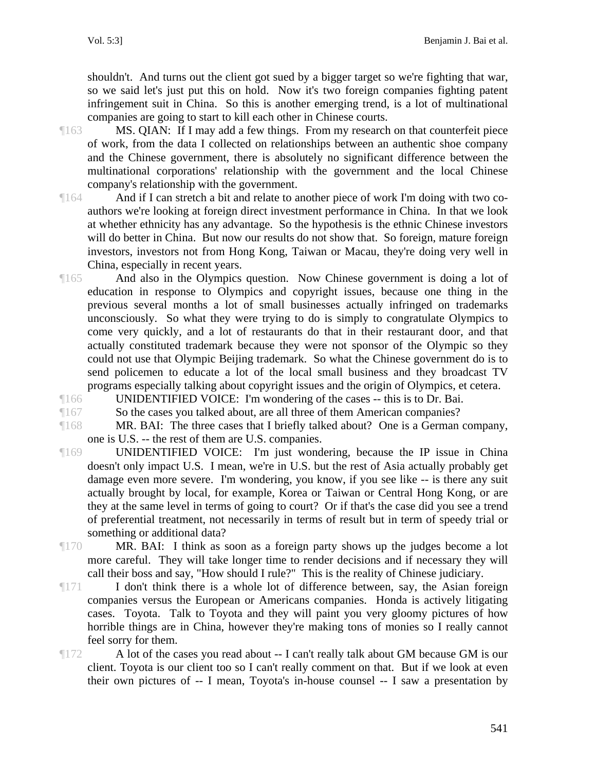shouldn't. And turns out the client got sued by a bigger target so we're fighting that war, so we said let's just put this on hold. Now it's two foreign companies fighting patent infringement suit in China. So this is another emerging trend, is a lot of multinational companies are going to start to kill each other in Chinese courts.

¶163 MS. QIAN: If I may add a few things. From my research on that counterfeit piece of work, from the data I collected on relationships between an authentic shoe company and the Chinese government, there is absolutely no significant difference between the multinational corporations' relationship with the government and the local Chinese company's relationship with the government.

¶164 And if I can stretch a bit and relate to another piece of work I'm doing with two coauthors we're looking at foreign direct investment performance in China. In that we look at whether ethnicity has any advantage. So the hypothesis is the ethnic Chinese investors will do better in China. But now our results do not show that. So foreign, mature foreign investors, investors not from Hong Kong, Taiwan or Macau, they're doing very well in China, especially in recent years.

- ¶165 And also in the Olympics question. Now Chinese government is doing a lot of education in response to Olympics and copyright issues, because one thing in the previous several months a lot of small businesses actually infringed on trademarks unconsciously. So what they were trying to do is simply to congratulate Olympics to come very quickly, and a lot of restaurants do that in their restaurant door, and that actually constituted trademark because they were not sponsor of the Olympic so they could not use that Olympic Beijing trademark. So what the Chinese government do is to send policemen to educate a lot of the local small business and they broadcast TV programs especially talking about copyright issues and the origin of Olympics, et cetera.
- ¶166 UNIDENTIFIED VOICE: I'm wondering of the cases -- this is to Dr. Bai.

¶167 So the cases you talked about, are all three of them American companies?

¶168 MR. BAI: The three cases that I briefly talked about? One is a German company, one is U.S. -- the rest of them are U.S. companies.

- ¶169 UNIDENTIFIED VOICE: I'm just wondering, because the IP issue in China doesn't only impact U.S. I mean, we're in U.S. but the rest of Asia actually probably get damage even more severe. I'm wondering, you know, if you see like -- is there any suit actually brought by local, for example, Korea or Taiwan or Central Hong Kong, or are they at the same level in terms of going to court? Or if that's the case did you see a trend of preferential treatment, not necessarily in terms of result but in term of speedy trial or something or additional data?
- ¶170 MR. BAI: I think as soon as a foreign party shows up the judges become a lot more careful. They will take longer time to render decisions and if necessary they will call their boss and say, "How should I rule?" This is the reality of Chinese judiciary.
- $\P$ <sup>171</sup> I don't think there is a whole lot of difference between, say, the Asian foreign companies versus the European or Americans companies. Honda is actively litigating cases. Toyota. Talk to Toyota and they will paint you very gloomy pictures of how horrible things are in China, however they're making tons of monies so I really cannot feel sorry for them.
- ¶172 A lot of the cases you read about -- I can't really talk about GM because GM is our client. Toyota is our client too so I can't really comment on that. But if we look at even their own pictures of -- I mean, Toyota's in-house counsel -- I saw a presentation by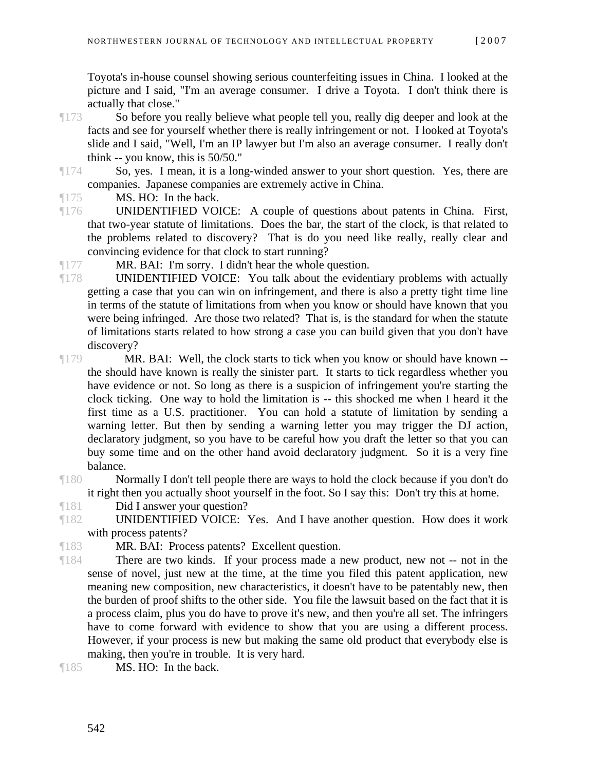Toyota's in-house counsel showing serious counterfeiting issues in China. I looked at the picture and I said, "I'm an average consumer. I drive a Toyota. I don't think there is actually that close."

- ¶173 So before you really believe what people tell you, really dig deeper and look at the facts and see for yourself whether there is really infringement or not. I looked at Toyota's slide and I said, "Well, I'm an IP lawyer but I'm also an average consumer. I really don't think -- you know, this is 50/50."
- ¶174 So, yes. I mean, it is a long-winded answer to your short question. Yes, there are companies. Japanese companies are extremely active in China.

¶175 MS. HO: In the back.

¶176 UNIDENTIFIED VOICE: A couple of questions about patents in China. First, that two-year statute of limitations. Does the bar, the start of the clock, is that related to the problems related to discovery? That is do you need like really, really clear and convincing evidence for that clock to start running?

¶177 MR. BAI: I'm sorry. I didn't hear the whole question.

- ¶178 UNIDENTIFIED VOICE: You talk about the evidentiary problems with actually getting a case that you can win on infringement, and there is also a pretty tight time line in terms of the statute of limitations from when you know or should have known that you were being infringed. Are those two related? That is, is the standard for when the statute of limitations starts related to how strong a case you can build given that you don't have discovery?
- ¶179 MR. BAI: Well, the clock starts to tick when you know or should have known the should have known is really the sinister part. It starts to tick regardless whether you have evidence or not. So long as there is a suspicion of infringement you're starting the clock ticking. One way to hold the limitation is -- this shocked me when I heard it the first time as a U.S. practitioner. You can hold a statute of limitation by sending a warning letter. But then by sending a warning letter you may trigger the DJ action, declaratory judgment, so you have to be careful how you draft the letter so that you can buy some time and on the other hand avoid declaratory judgment. So it is a very fine balance.
- ¶180 Normally I don't tell people there are ways to hold the clock because if you don't do it right then you actually shoot yourself in the foot. So I say this: Don't try this at home.

¶181 Did I answer your question?

- ¶182 UNIDENTIFIED VOICE: Yes. And I have another question. How does it work with process patents?
- ¶183 MR. BAI: Process patents? Excellent question.
- ¶184 There are two kinds. If your process made a new product, new not -- not in the sense of novel, just new at the time, at the time you filed this patent application, new meaning new composition, new characteristics, it doesn't have to be patentably new, then the burden of proof shifts to the other side. You file the lawsuit based on the fact that it is a process claim, plus you do have to prove it's new, and then you're all set. The infringers have to come forward with evidence to show that you are using a different process. However, if your process is new but making the same old product that everybody else is making, then you're in trouble. It is very hard.

¶185 MS. HO: In the back.